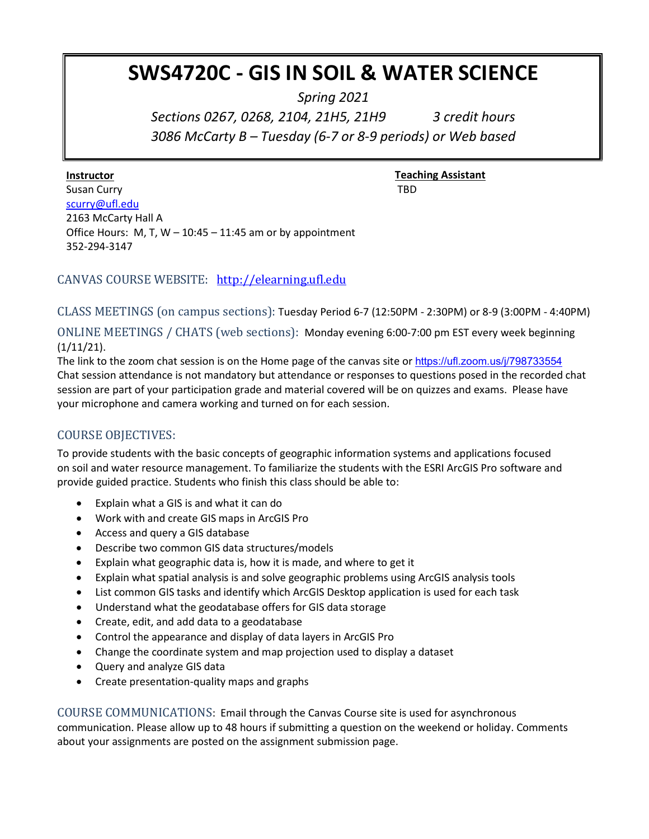# **SWS4720C - GIS IN SOIL & WATER SCIENCE**

*Spring 2021*

*Sections 0267, 0268, 2104, 21H5, 21H9 3 credit hours 3086 McCarty B – Tuesday (6-7 or 8-9 periods) or Web based*

**Instructor** 

**Teaching Assistant** TBD

Susan Curry [scurry@ufl.edu](mailto:scurry@ufl.edu) 2163 McCarty Hall A Office Hours: M, T,  $W - 10:45 - 11:45$  am or by appointment 352-294-3147

CANVAS COURSE WEBSITE: [http://elearning.ufl.edu](http://elearning.ufl.edu/)

CLASS MEETINGS (on campus sections): Tuesday Period 6-7 (12:50PM - 2:30PM) or 8-9 (3:00PM - 4:40PM)

ONLINE MEETINGS / CHATS (web sections): Monday evening 6:00-7:00 pm EST every week beginning (1/11/21).

The link to the zoom chat session is on the Home page of the canvas site or https://ufl.zoom.us/j/798733554 Chat session attendance is not mandatory but attendance or responses to questions posed in the recorded chat session are part of your participation grade and material covered will be on quizzes and exams. Please have your microphone and camera working and turned on for each session.

# COURSE OBJECTIVES:

To provide students with the basic concepts of geographic information systems and applications focused on soil and water resource management. To familiarize the students with the ESRI ArcGIS Pro software and provide guided practice. Students who finish this class should be able to:

- Explain what a GIS is and what it can do
- Work with and create GIS maps in ArcGIS Pro
- Access and query a GIS database
- Describe two common GIS data structures/models
- Explain what geographic data is, how it is made, and where to get it
- Explain what spatial analysis is and solve geographic problems using ArcGIS analysis tools
- List common GIS tasks and identify which ArcGIS Desktop application is used for each task
- Understand what the geodatabase offers for GIS data storage
- Create, edit, and add data to a geodatabase
- Control the appearance and display of data layers in ArcGIS Pro
- Change the coordinate system and map projection used to display a dataset
- Query and analyze GIS data
- Create presentation-quality maps and graphs

COURSE COMMUNICATIONS: Email through the Canvas Course site is used for asynchronous communication. Please allow up to 48 hours if submitting a question on the weekend or holiday. Comments about your assignments are posted on the assignment submission page.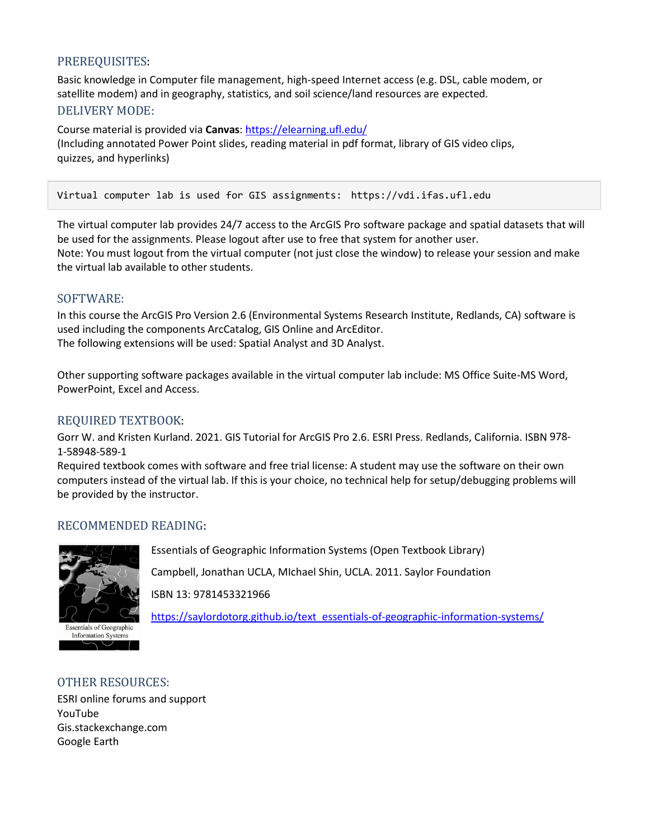# PREREQUISITES:

Basic knowledge in Computer file management, high-speed Internet access (e.g. DSL, cable modem, or satellite modem) and in geography, statistics, and soil science/land resources are expected. DELIVERY MODE:

Course material is provided via **Canvas**[: https://elearning.ufl.edu/](https://elearning.ufl.edu/) (Including annotated Power Point slides, reading material in pdf format, library of GIS video clips, quizzes, and hyperlinks)

Virtual computer lab is used for GIS assignments: https://vdi.ifas.ufl.edu

The virtual computer lab provides 24/7 access to the ArcGIS Pro software package and spatial datasets that will be used for the assignments. Please logout after use to free that system for another user. Note: You must logout from the virtual computer (not just close the window) to release your session and make the virtual lab available to other students.

## SOFTWARE:

In this course the ArcGIS Pro Version 2.6 (Environmental Systems Research Institute, Redlands, CA) software is used including the components ArcCatalog, GIS Online and ArcEditor. The following extensions will be used: Spatial Analyst and 3D Analyst.

Other supporting software packages available in the virtual computer lab include: MS Office Suite-MS Word, PowerPoint, Excel and Access.

## REQUIRED TEXTBOOK:

Gorr W. and Kristen Kurland. 2021. GIS Tutorial for ArcGIS Pro 2.6. ESRI Press. Redlands, California. ISBN 978- 1-58948-589-1

Required textbook comes with software and free trial license: A student may use the software on their own computers instead of the virtual lab. If this is your choice, no technical help for setup/debugging problems will be provided by the instructor.

## RECOMMENDED READING:



Essentials of Geographic Information Systems (Open Textbook Library)

Campbell, Jonathan UCLA, MIchael Shin, UCLA. 2011[. Saylor Foundation](http://www.saylor.org/site/textbooks/Essentials%20of%20Geographic%20Information%20Systems.pdf)

ISBN 13: 9781453321966

[https://saylordotorg.github.io/text\\_essentials-of-geographic-information-systems/](https://saylordotorg.github.io/text_essentials-of-geographic-information-systems/)

#### OTHER RESOURCES:

 $\smile$ 

ESRI online forums and support YouTube Gis.stackexchange.com Google Earth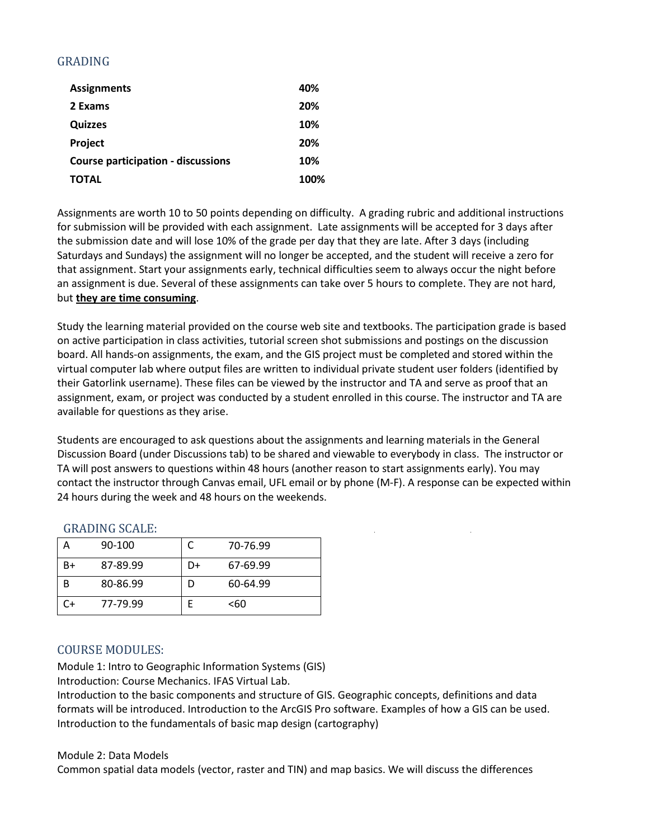# GRADING

| <b>Assignments</b>                        | 40%  |
|-------------------------------------------|------|
| 2 Exams                                   | 20%  |
| <b>Quizzes</b>                            | 10%  |
| Project                                   | 20%  |
| <b>Course participation - discussions</b> | 10%  |
| <b>TOTAL</b>                              | 100% |

Assignments are worth 10 to 50 points depending on difficulty. A grading rubric and additional instructions for submission will be provided with each assignment. Late assignments will be accepted for 3 days after the submission date and will lose 10% of the grade per day that they are late. After 3 days (including Saturdays and Sundays) the assignment will no longer be accepted, and the student will receive a zero for that assignment. Start your assignments early, technical difficulties seem to always occur the night before an assignment is due. Several of these assignments can take over 5 hours to complete. They are not hard, but **they are time consuming**.

Study the learning material provided on the course web site and textbooks. The participation grade is based on active participation in class activities, tutorial screen shot submissions and postings on the discussion board. All hands-on assignments, the exam, and the GIS project must be completed and stored within the virtual computer lab where output files are written to individual private student user folders (identified by their Gatorlink username). These files can be viewed by the instructor and TA and serve as proof that an assignment, exam, or project was conducted by a student enrolled in this course. The instructor and TA are available for questions as they arise.

Students are encouraged to ask questions about the assignments and learning materials in the General Discussion Board (under Discussions tab) to be shared and viewable to everybody in class. The instructor or TA will post answers to questions within 48 hours (another reason to start assignments early). You may contact the instructor through Canvas email, UFL email or by phone (M-F). A response can be expected within 24 hours during the week and 48 hours on the weekends.

|    | 90-100   |    | 70-76.99 |
|----|----------|----|----------|
| B+ | 87-89.99 | D+ | 67-69.99 |
| B  | 80-86.99 | I) | 60-64.99 |
| ົ+ | 77-79.99 |    | <60      |

#### GRADING SCALE:

## COURSE MODULES:

Module 1: Intro to Geographic Information Systems (GIS) Introduction: Course Mechanics. IFAS Virtual Lab.

Introduction to the basic components and structure of GIS. Geographic concepts, definitions and data formats will be introduced. Introduction to the ArcGIS Pro software. Examples of how a GIS can be used. Introduction to the fundamentals of basic map design (cartography)

#### Module 2: Data Models

Common spatial data models (vector, raster and TIN) and map basics. We will discuss the differences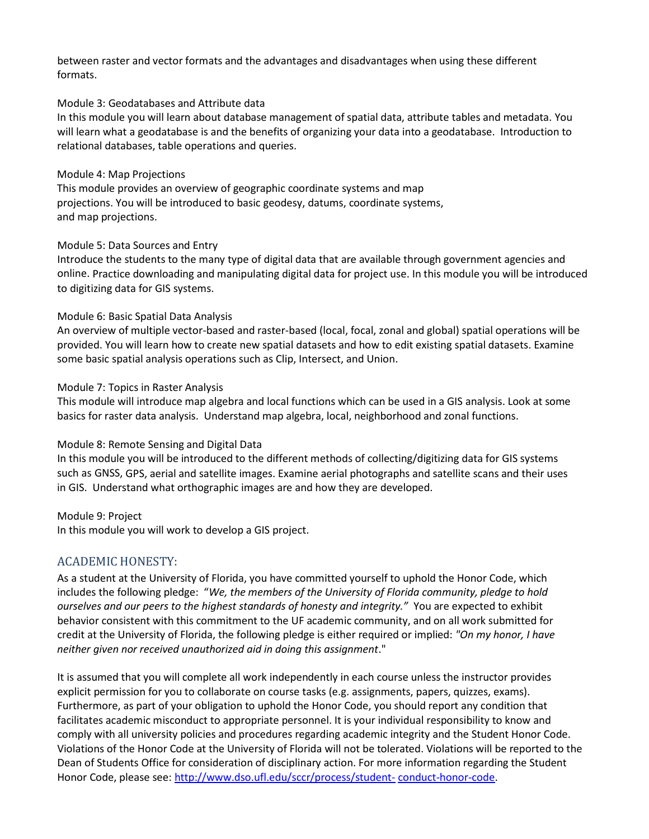between raster and vector formats and the advantages and disadvantages when using these different formats.

#### Module 3: Geodatabases and Attribute data

In this module you will learn about database management of spatial data, attribute tables and metadata. You will learn what a geodatabase is and the benefits of organizing your data into a geodatabase. Introduction to relational databases, table operations and queries.

#### Module 4: Map Projections

This module provides an overview of geographic coordinate systems and map projections. You will be introduced to basic geodesy, datums, coordinate systems, and map projections.

#### Module 5: Data Sources and Entry

Introduce the students to the many type of digital data that are available through government agencies and online. Practice downloading and manipulating digital data for project use. In this module you will be introduced to digitizing data for GIS systems.

#### Module 6: Basic Spatial Data Analysis

An overview of multiple vector-based and raster-based (local, focal, zonal and global) spatial operations will be provided. You will learn how to create new spatial datasets and how to edit existing spatial datasets. Examine some basic spatial analysis operations such as Clip, Intersect, and Union.

#### Module 7: Topics in Raster Analysis

This module will introduce map algebra and local functions which can be used in a GIS analysis. Look at some basics for raster data analysis. Understand map algebra, local, neighborhood and zonal functions.

#### Module 8: Remote Sensing and Digital Data

In this module you will be introduced to the different methods of collecting/digitizing data for GIS systems such as GNSS, GPS, aerial and satellite images. Examine aerial photographs and satellite scans and their uses in GIS. Understand what orthographic images are and how they are developed.

#### Module 9: Project

In this module you will work to develop a GIS project.

## ACADEMIC HONESTY:

As a student at the University of Florida, you have committed yourself to uphold the Honor Code, which includes the following pledge: "*We, the members of the University of Florida community, pledge to hold ourselves and our peers to the highest standards of honesty and integrity."* You are expected to exhibit behavior consistent with this commitment to the UF academic community, and on all work submitted for credit at the University of Florida, the following pledge is either required or implied: *"On my honor, I have neither given nor received unauthorized aid in doing this assignment*."

It is assumed that you will complete all work independently in each course unless the instructor provides explicit permission for you to collaborate on course tasks (e.g. assignments, papers, quizzes, exams). Furthermore, as part of your obligation to uphold the Honor Code, you should report any condition that facilitates academic misconduct to appropriate personnel. It is your individual responsibility to know and comply with all university policies and procedures regarding academic integrity and the Student Honor Code. Violations of the Honor Code at the University of Florida will not be tolerated. Violations will be reported to the Dean of Students Office for consideration of disciplinary action. For more information regarding the Student Honor Code, please see[: http://www.dso.ufl.edu/sccr/process/student-](http://www.dso.ufl.edu/sccr/process/student-conduct-honor-code) [conduct-honor-code.](http://www.dso.ufl.edu/sccr/process/student-conduct-honor-code)